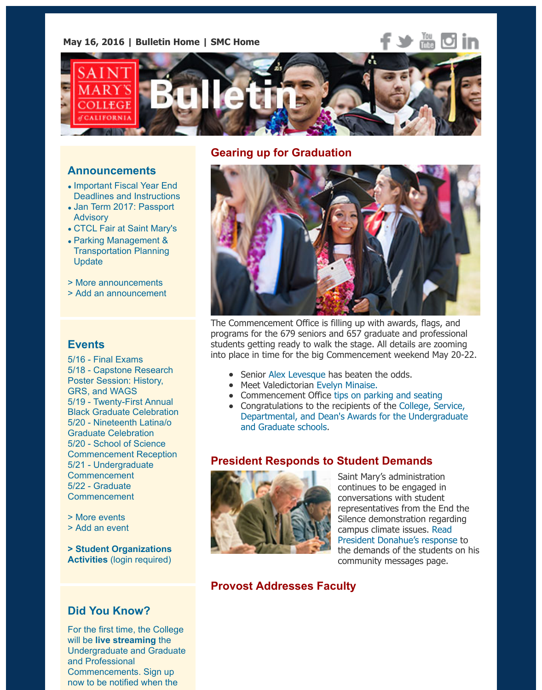

## **Gearing up for Graduation**

### **Announcements**

- Important Fiscal Year End Deadlines and Instructions
- Jan Term 2017: Passport **Advisory**
- CTCL Fair at Saint Mary's
- Parking Management & Transportation Planning Update
- > [More announcements](https://www.stmarys-ca.edu/important-fiscal-year-end-deadlines-and-instructions?utm_source=Bulletin&utm_medium=email&utm_content=announcement_test&utm_campaign=05-16-16)
- > [Add an announcement](https://www.stmarys-ca.edu/jan-term-2017-passport-advisory?utm_source=Bulletin&utm_medium=email&utm_content=announcement_test&utm_campaign=05-16-16)

### **Events**

5[/16 - Final Exams](https://www.stmarys-ca.edu/parking-management-transportation-planning-update?utm_source=Bulletin&utm_medium=email&utm_content=announcement_test&utm_campaign=05-16-2016) 5/18 - Capstone Research [Poster Session: History,](http://www.stmarys-ca.edu/smc-bulletin/announcements?utm_source=Bulletin&utm_medium=email&utm_content=announcement_test&utm_campaign=05-16-16) [GRS, and WAGS](http://www.stmarys-ca.edu/node/add/announcement?utm_source=Bulletin&utm_medium=email&utm_content=announcement_test&utm_campaign=05-16-16) 5/19 - Twenty-First Annual Black Graduate Celebration 5/20 - Nineteenth Latina/o Graduate Celebration 5/20 - School of Science Com[mencement Re](https://www.stmarys-ca.edu/final-exams-0?utm_source=Bulletin&utm_medium=email&utm_content=event_test&utm_campaign=05-16-16)ception [5/21 - Undergraduate](https://www.stmarys-ca.edu/history-grs-and-wags-capstone-research-poster-session?utm_source=Bulletin&utm_medium=email&utm_content=event_test&utm_campaign=05-16-16) **Commencement** 5/22 - Graduate [Commencement](https://www.stmarys-ca.edu/twenty-first-annual-black-graduate-celebration?utm_source=Bulletin&utm_medium=email&utm_content=event_test&utm_campaign=05-16-16)

> More events [> Add an event](https://www.stmarys-ca.edu/nineteenth-annual-latinao-graduate-celebration?utm_source=Bulletin&utm_medium=email&utm_content=event_test&utm_campaign=05-16-16)

**[> Student Organizations](https://www.stmarys-ca.edu/school-of-science-graduating-majors-commencement-reception?utm_source=Bulletin&utm_medium=email&utm_content=event_test&utm_campaign=05-16-16) Activities** [\(login requi](https://www.stmarys-ca.edu/undergraduate-commencement-0?utm_source=Bulletin&utm_medium=email&utm_content=event_test&utm_campaign=05-16-16)red)

## **[Did You Kn](http://www.stmarys-ca.edu/events?utm_source=Bulletin&utm_medium=email&utm_content=event_test&utm_campaign=05-16-16)ow?**

[For the first time](http://www.stmarys-ca.edu/node/add/calendar-event?utm_source=Bulletin&utm_medium=email&utm_content=event_test&utm_campaign=05-16-16), the College will be **live streaming** the [Undergraduate and Gradu](https://stmarys-ca-community.symplicity.com/)ate and Professional Commencements. Sign up now to be notified when the



The Commencement Office is filling up with awards, flags, and programs for the 679 seniors and 657 graduate and profession students getting ready to walk the stage. All details are zooming into place in time for the big Commencement weekend May 20

- Senior Alex Levesque has beaten the odds.
- Meet Valedictorian Evelyn Minaise.
- Commencement Office tips on parking and seating
- Congratulations to the recipients of the College, Service Departmental, and Dean's Awards for the Undergradua and Graduate schools.

## **President [Responds t](https://www.stmarys-ca.edu/indomitable-spirit?utm_source=Bulletin&utm_medium=email&utm_content=feature_test&utm_campaign=05-16-2016)o Student Demands**



[Saint Mary](https://www.stmarys-ca.edu/2016-valedictorian-says-familys-immigrant-experience-sparked-journalism-social-justice-interest?utm_source=Bulletin&utm_medium=email&utm_content=feature_test&utm_campaign=05-16-2016)'s administration [continues to be engaged in](https://www.stmarys-ca.edu/commencement-weekend/parking?utm_source=Bulletin&utm_medium=email&utm_content=feature_test&utm_campaign=05-16-2016) conversations with student [representatives from the End the](https://www.stmarys-ca.edu/commencement/undergraduate-commencement/academic-honors-and-awards?utm_source=Bulletin&utm_medium=email&utm_content=feature_test&utm_campaign=05-16-2016) Silence demonstration regarding campus climate issues. Read President Donahue's response the demands of the students on community messages page.

# **Provost Addresses Faculty**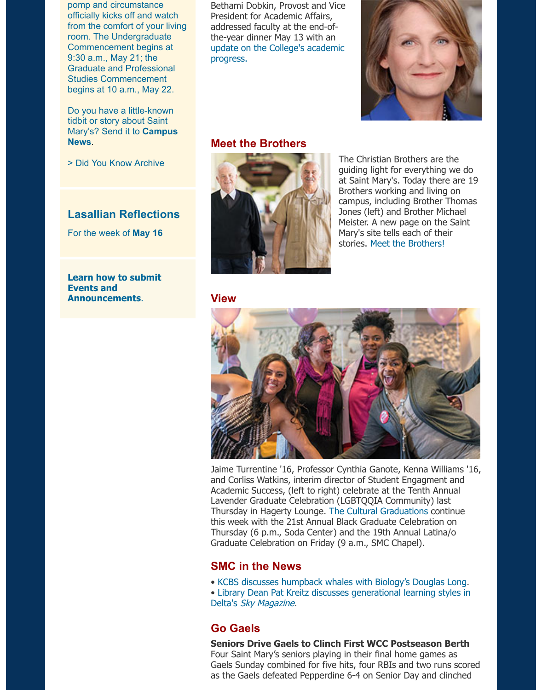Do you have a little-known tidbit or story about Saint Mary's? Send it to **Campus News**.

> Did You Know Archive

## **Lasallian Reflections**

[For the week of](mailto:news@stmarys-ca.edu) **May 16**

#### **Learn how to submit Events and Announcements**.



## **[Meet the Brothers](https://www.stmarys-ca.edu/provosts-2016-spring-address?utm_source=Bulletin&utm_medium=email&utm_content=feature_test&utm_campaign=05-16-16)**



The Christian Brothers are the guiding light for everything we at Saint Mary's. Today there ar Brothers working and living on campus, including Brother Tho Jones (left) and Brother Michae Meister. A new page on the Sa Mary's site tells each of their stories. Meet the Brothers!

**View**



Jaime Turrentine '16, Professor Cynthia Ganote, Kenna William and Corliss Watkins, interim director of Student Engagment and Academic Success, (left to right) celebrate at the Tenth Annual Lavender Graduate Celebration (LGBTQQIA Community) last Thursday in Hagerty Lounge. The Cultural Graduations continue this week with the 21st Annual Black Graduate Celebration on Thursday (6 p.m., Soda Center) and the 19th Annual Latina/o Graduate Celebration on Friday (9 a.m., SMC Chapel).

## **SMC in the News**

- KCBS discusses humpback whales with Biology's Douglas Lor
- Library Dean Pat Kreitz discusses generational learning styles Delta's Sky Magazine.

# **Go Gaels**

#### **Seniors Drive Gaels to Clinch First WCC Postseason Berthaw** Four Saint Mary's seniors playing in their final home games as Gaels Sunday combined for five hits, four RBIs and two runs so as the Gaels defeated Pepperdine 6-4 on Senior Day and clinch